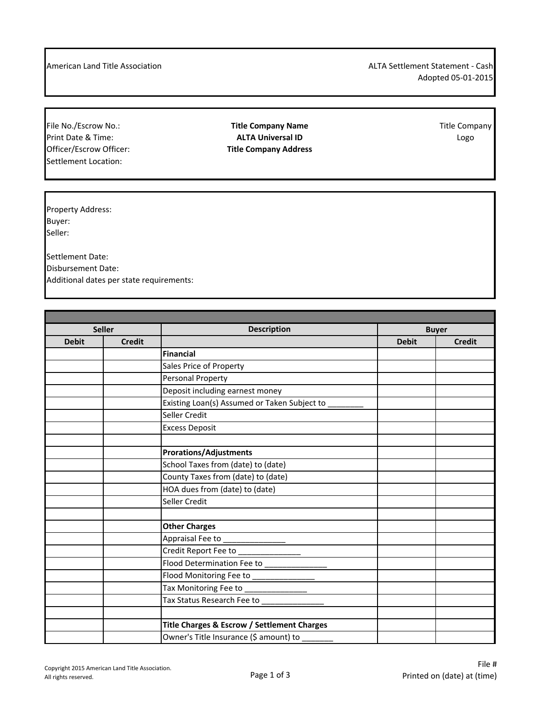American Land Title Association **ALTA Settlement Statement - Cash** ALTA Settlement Statement - Cash Adopted 05-01-2015

Officer/Escrow Officer: **Title Company Address** Settlement Location:

File No./Escrow No.: **Title Company Name Title Company Name** Title Company<br>Print Date & Time: **Title Company ALTA Universal ID Print Date & Time: ALTA Universal ID** Logo

Property Address: Buyer: Seller:

Settlement Date: Disbursement Date: Additional dates per state requirements:

| <b>Description</b><br><b>Seller</b><br><b>Buyer</b><br><b>Debit</b><br><b>Debit</b><br><b>Credit</b><br><b>Credit</b><br><b>Financial</b><br>Sales Price of Property<br>Personal Property<br>Deposit including earnest money<br>Existing Loan(s) Assumed or Taken Subject to<br>Seller Credit<br><b>Excess Deposit</b><br><b>Prorations/Adjustments</b><br>School Taxes from (date) to (date)<br>County Taxes from (date) to (date)<br>HOA dues from (date) to (date)<br>Seller Credit<br><b>Other Charges</b><br>Appraisal Fee to ________________<br>Credit Report Fee to _________________<br>Flood Determination Fee to ___________<br>Flood Monitoring Fee to _______________<br>Tax Monitoring Fee to<br>Tax Status Research Fee to __<br>Title Charges & Escrow / Settlement Charges |  |                                        |  |
|---------------------------------------------------------------------------------------------------------------------------------------------------------------------------------------------------------------------------------------------------------------------------------------------------------------------------------------------------------------------------------------------------------------------------------------------------------------------------------------------------------------------------------------------------------------------------------------------------------------------------------------------------------------------------------------------------------------------------------------------------------------------------------------------|--|----------------------------------------|--|
|                                                                                                                                                                                                                                                                                                                                                                                                                                                                                                                                                                                                                                                                                                                                                                                             |  |                                        |  |
|                                                                                                                                                                                                                                                                                                                                                                                                                                                                                                                                                                                                                                                                                                                                                                                             |  |                                        |  |
|                                                                                                                                                                                                                                                                                                                                                                                                                                                                                                                                                                                                                                                                                                                                                                                             |  |                                        |  |
|                                                                                                                                                                                                                                                                                                                                                                                                                                                                                                                                                                                                                                                                                                                                                                                             |  |                                        |  |
|                                                                                                                                                                                                                                                                                                                                                                                                                                                                                                                                                                                                                                                                                                                                                                                             |  |                                        |  |
|                                                                                                                                                                                                                                                                                                                                                                                                                                                                                                                                                                                                                                                                                                                                                                                             |  |                                        |  |
|                                                                                                                                                                                                                                                                                                                                                                                                                                                                                                                                                                                                                                                                                                                                                                                             |  |                                        |  |
|                                                                                                                                                                                                                                                                                                                                                                                                                                                                                                                                                                                                                                                                                                                                                                                             |  |                                        |  |
|                                                                                                                                                                                                                                                                                                                                                                                                                                                                                                                                                                                                                                                                                                                                                                                             |  |                                        |  |
|                                                                                                                                                                                                                                                                                                                                                                                                                                                                                                                                                                                                                                                                                                                                                                                             |  |                                        |  |
|                                                                                                                                                                                                                                                                                                                                                                                                                                                                                                                                                                                                                                                                                                                                                                                             |  |                                        |  |
|                                                                                                                                                                                                                                                                                                                                                                                                                                                                                                                                                                                                                                                                                                                                                                                             |  |                                        |  |
|                                                                                                                                                                                                                                                                                                                                                                                                                                                                                                                                                                                                                                                                                                                                                                                             |  |                                        |  |
|                                                                                                                                                                                                                                                                                                                                                                                                                                                                                                                                                                                                                                                                                                                                                                                             |  |                                        |  |
|                                                                                                                                                                                                                                                                                                                                                                                                                                                                                                                                                                                                                                                                                                                                                                                             |  |                                        |  |
|                                                                                                                                                                                                                                                                                                                                                                                                                                                                                                                                                                                                                                                                                                                                                                                             |  |                                        |  |
|                                                                                                                                                                                                                                                                                                                                                                                                                                                                                                                                                                                                                                                                                                                                                                                             |  |                                        |  |
|                                                                                                                                                                                                                                                                                                                                                                                                                                                                                                                                                                                                                                                                                                                                                                                             |  |                                        |  |
|                                                                                                                                                                                                                                                                                                                                                                                                                                                                                                                                                                                                                                                                                                                                                                                             |  |                                        |  |
|                                                                                                                                                                                                                                                                                                                                                                                                                                                                                                                                                                                                                                                                                                                                                                                             |  |                                        |  |
|                                                                                                                                                                                                                                                                                                                                                                                                                                                                                                                                                                                                                                                                                                                                                                                             |  |                                        |  |
|                                                                                                                                                                                                                                                                                                                                                                                                                                                                                                                                                                                                                                                                                                                                                                                             |  |                                        |  |
|                                                                                                                                                                                                                                                                                                                                                                                                                                                                                                                                                                                                                                                                                                                                                                                             |  |                                        |  |
|                                                                                                                                                                                                                                                                                                                                                                                                                                                                                                                                                                                                                                                                                                                                                                                             |  |                                        |  |
|                                                                                                                                                                                                                                                                                                                                                                                                                                                                                                                                                                                                                                                                                                                                                                                             |  |                                        |  |
|                                                                                                                                                                                                                                                                                                                                                                                                                                                                                                                                                                                                                                                                                                                                                                                             |  | Owner's Title Insurance (\$ amount) to |  |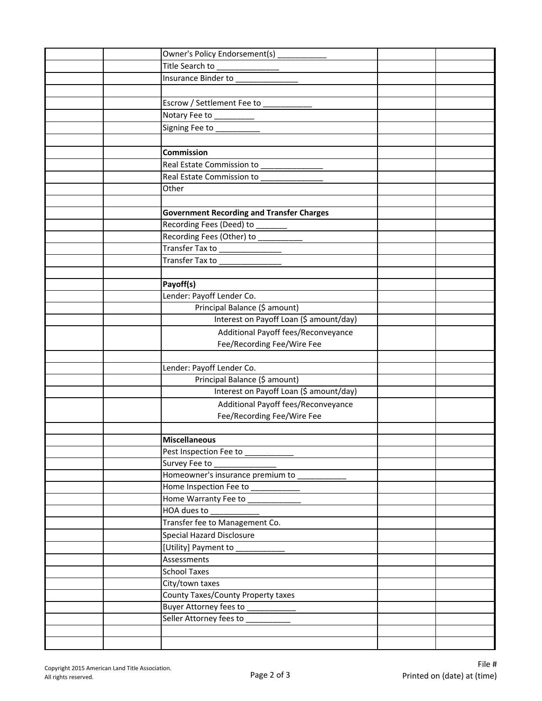|  | Owner's Policy Endorsement(s) ____________       |  |
|--|--------------------------------------------------|--|
|  |                                                  |  |
|  |                                                  |  |
|  |                                                  |  |
|  | Escrow / Settlement Fee to _____________         |  |
|  |                                                  |  |
|  |                                                  |  |
|  |                                                  |  |
|  | Commission                                       |  |
|  | Real Estate Commission to ____________           |  |
|  | Real Estate Commission to _______________        |  |
|  | Other                                            |  |
|  |                                                  |  |
|  | <b>Government Recording and Transfer Charges</b> |  |
|  |                                                  |  |
|  |                                                  |  |
|  |                                                  |  |
|  |                                                  |  |
|  |                                                  |  |
|  | Payoff(s)                                        |  |
|  | Lender: Payoff Lender Co.                        |  |
|  | Principal Balance (\$ amount)                    |  |
|  | Interest on Payoff Loan (\$ amount/day)          |  |
|  | Additional Payoff fees/Reconveyance              |  |
|  | Fee/Recording Fee/Wire Fee                       |  |
|  |                                                  |  |
|  | Lender: Payoff Lender Co.                        |  |
|  | Principal Balance (\$ amount)                    |  |
|  | Interest on Payoff Loan (\$ amount/day)          |  |
|  | Additional Payoff fees/Reconveyance              |  |
|  | Fee/Recording Fee/Wire Fee                       |  |
|  |                                                  |  |
|  | <b>Miscellaneous</b>                             |  |
|  |                                                  |  |
|  | Survey Fee to _____________________              |  |
|  | Homeowner's insurance premium to ___________     |  |
|  | Home Inspection Fee to ___________               |  |
|  |                                                  |  |
|  |                                                  |  |
|  | Transfer fee to Management Co.                   |  |
|  | Special Hazard Disclosure                        |  |
|  | [Utility] Payment to ____________                |  |
|  | Assessments                                      |  |
|  | <b>School Taxes</b>                              |  |
|  | City/town taxes                                  |  |
|  | County Taxes/County Property taxes               |  |
|  | Buyer Attorney fees to ____________              |  |
|  | Seller Attorney fees to                          |  |
|  |                                                  |  |
|  |                                                  |  |
|  |                                                  |  |